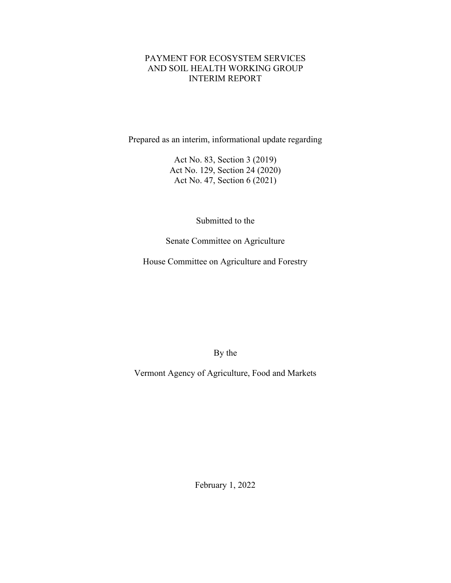## PAYMENT FOR ECOSYSTEM SERVICES AND SOIL HEALTH WORKING GROUP INTERIM REPORT

Prepared as an interim, informational update regarding

Act No. 83, Section 3 (2019) Act No. 129, Section 24 (2020) Act No. 47, Section 6 (2021)

Submitted to the

Senate Committee on Agriculture

House Committee on Agriculture and Forestry

By the

Vermont Agency of Agriculture, Food and Markets

February 1, 2022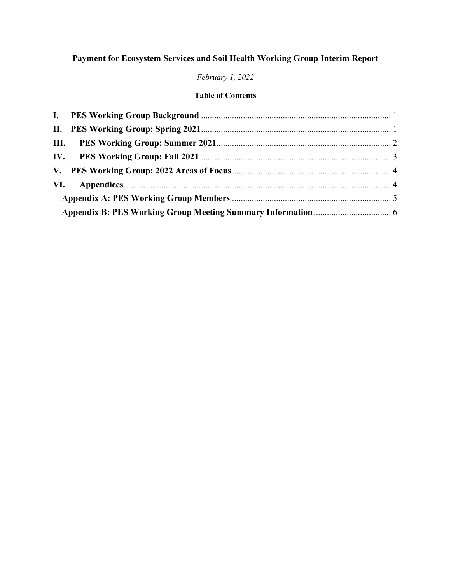# **Payment for Ecosystem Services and Soil Health Working Group Interim Report**

# *February 1, 2022*

# **Table of Contents**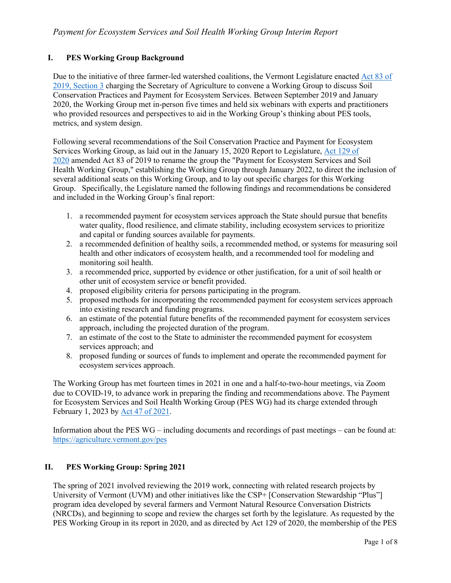#### <span id="page-2-0"></span>**I. PES Working Group Background**

Due to the initiative of three farmer-led watershed coalitions, the Vermont Legislature enacted [Act 83 of](https://legislature.vermont.gov/Documents/2020/Docs/ACTS/ACT083/ACT083%20As%20Enacted.pdf)  [2019, Section 3](https://legislature.vermont.gov/Documents/2020/Docs/ACTS/ACT083/ACT083%20As%20Enacted.pdf) charging the Secretary of Agriculture to convene a Working Group to discuss Soil Conservation Practices and Payment for Ecosystem Services. Between September 2019 and January 2020, the Working Group met in-person five times and held six webinars with experts and practitioners who provided resources and perspectives to aid in the Working Group's thinking about PES tools, metrics, and system design.

Following several recommendations of the Soil Conservation Practice and Payment for Ecosystem Services Working Group, as laid out in the January 15, 2020 Report to Legislature, [Act 129 of](https://legislature.vermont.gov/Documents/2020/Docs/ACTS/ACT129/ACT129%20As%20Enacted.pdf)  [2020](https://legislature.vermont.gov/Documents/2020/Docs/ACTS/ACT129/ACT129%20As%20Enacted.pdf) amended Act 83 of 2019 to rename the group the "Payment for Ecosystem Services and Soil Health Working Group," establishing the Working Group through January 2022, to direct the inclusion of several additional seats on this Working Group, and to lay out specific charges for this Working Group. Specifically, the Legislature named the following findings and recommendations be considered and included in the Working Group's final report:

- 1. a recommended payment for ecosystem services approach the State should pursue that benefits water quality, flood resilience, and climate stability, including ecosystem services to prioritize and capital or funding sources available for payments.
- 2. a recommended definition of healthy soils, a recommended method, or systems for measuring soil health and other indicators of ecosystem health, and a recommended tool for modeling and monitoring soil health.
- 3. a recommended price, supported by evidence or other justification, for a unit of soil health or other unit of ecosystem service or benefit provided.
- 4. proposed eligibility criteria for persons participating in the program.
- 5. proposed methods for incorporating the recommended payment for ecosystem services approach into existing research and funding programs.
- 6. an estimate of the potential future benefits of the recommended payment for ecosystem services approach, including the projected duration of the program.
- 7. an estimate of the cost to the State to administer the recommended payment for ecosystem services approach; and
- 8. proposed funding or sources of funds to implement and operate the recommended payment for ecosystem services approach.

The Working Group has met fourteen times in 2021 in one and a half-to-two-hour meetings, via Zoom due to COVID-19, to advance work in preparing the finding and recommendations above. The Payment for Ecosystem Services and Soil Health Working Group (PES WG) had its charge extended through February 1, 2023 by [Act 47 of 2021.](https://legislature.vermont.gov/Documents/2022/Docs/ACTS/ACT047/ACT047%20As%20Enacted.pdf)

Information about the PES WG – including documents and recordings of past meetings – can be found at: <https://agriculture.vermont.gov/pes>

#### <span id="page-2-1"></span>**II. PES Working Group: Spring 2021**

The spring of 2021 involved reviewing the 2019 work, connecting with related research projects by University of Vermont (UVM) and other initiatives like the CSP+ [Conservation Stewardship "Plus"] program idea developed by several farmers and Vermont Natural Resource Conversation Districts (NRCDs), and beginning to scope and review the charges set forth by the legislature. As requested by the PES Working Group in its report in 2020, and as directed by Act 129 of 2020, the membership of the PES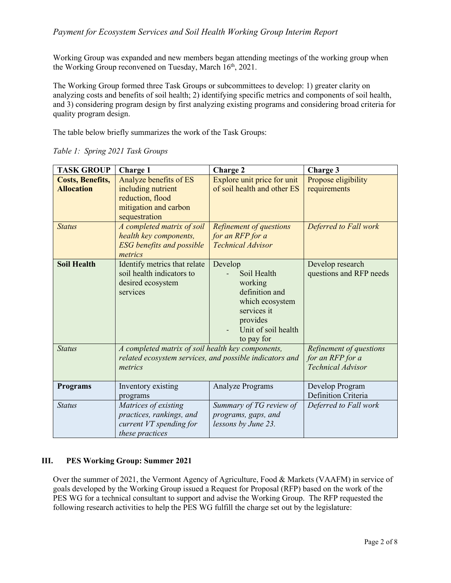## *Payment for Ecosystem Services and Soil Health Working Group Interim Report*

Working Group was expanded and new members began attending meetings of the working group when the Working Group reconvened on Tuesday, March 16<sup>th</sup>, 2021.

The Working Group formed three Task Groups or subcommittees to develop: 1) greater clarity on analyzing costs and benefits of soil health; 2) identifying specific metrics and components of soil health, and 3) considering program design by first analyzing existing programs and considering broad criteria for quality program design.

The table below briefly summarizes the work of the Task Groups:

| <b>TASK GROUP</b>                            | <b>Charge 1</b>                                                                                                         | <b>Charge 2</b>                                                                                                                        | Charge 3                                                                |
|----------------------------------------------|-------------------------------------------------------------------------------------------------------------------------|----------------------------------------------------------------------------------------------------------------------------------------|-------------------------------------------------------------------------|
| <b>Costs, Benefits,</b><br><b>Allocation</b> | Analyze benefits of ES<br>including nutrient<br>reduction, flood<br>mitigation and carbon<br>sequestration              | Explore unit price for unit<br>of soil health and other ES                                                                             | Propose eligibility<br>requirements                                     |
| <b>Status</b>                                | A completed matrix of soil<br>health key components,<br><b>ESG</b> benefits and possible<br>metrics                     | Refinement of questions<br>for an RFP for a<br><b>Technical Advisor</b>                                                                | Deferred to Fall work                                                   |
| <b>Soil Health</b>                           | Identify metrics that relate<br>soil health indicators to<br>desired ecosystem<br>services                              | Develop<br>Soil Health<br>working<br>definition and<br>which ecosystem<br>services it<br>provides<br>Unit of soil health<br>to pay for | Develop research<br>questions and RFP needs                             |
| <b>Status</b>                                | A completed matrix of soil health key components,<br>related ecosystem services, and possible indicators and<br>metrics |                                                                                                                                        | Refinement of questions<br>for an RFP for a<br><b>Technical Advisor</b> |
| <b>Programs</b>                              | Inventory existing<br>programs                                                                                          | <b>Analyze Programs</b>                                                                                                                | Develop Program<br>Definition Criteria                                  |
| <b>Status</b>                                | Matrices of existing<br>practices, rankings, and<br>current VT spending for<br>these practices                          | Summary of TG review of<br>programs, gaps, and<br>lessons by June 23.                                                                  | Deferred to Fall work                                                   |

*Table 1: Spring 2021 Task Groups*

#### <span id="page-3-0"></span>**III. PES Working Group: Summer 2021**

Over the summer of 2021, the Vermont Agency of Agriculture, Food & Markets (VAAFM) in service of goals developed by the Working Group issued a Request for Proposal (RFP) based on the work of the PES WG for a technical consultant to support and advise the Working Group. The RFP requested the following research activities to help the PES WG fulfill the charge set out by the legislature: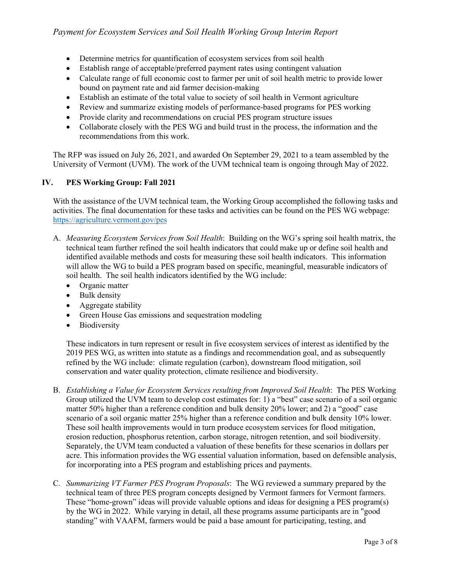- Determine metrics for quantification of ecosystem services from soil health
- Establish range of acceptable/preferred payment rates using contingent valuation
- Calculate range of full economic cost to farmer per unit of soil health metric to provide lower bound on payment rate and aid farmer decision-making
- Establish an estimate of the total value to society of soil health in Vermont agriculture
- Review and summarize existing models of performance-based programs for PES working
- Provide clarity and recommendations on crucial PES program structure issues
- Collaborate closely with the PES WG and build trust in the process, the information and the recommendations from this work.

The RFP was issued on July 26, 2021, and awarded On September 29, 2021 to a team assembled by the University of Vermont (UVM). The work of the UVM technical team is ongoing through May of 2022.

#### <span id="page-4-0"></span>**IV. PES Working Group: Fall 2021**

With the assistance of the UVM technical team, the Working Group accomplished the following tasks and activities. The final documentation for these tasks and activities can be found on the PES WG webpage: <https://agriculture.vermont.gov/pes>

- A. *Measuring Ecosystem Services from Soil Health*: Building on the WG's spring soil health matrix, the technical team further refined the soil health indicators that could make up or define soil health and identified available methods and costs for measuring these soil health indicators. This information will allow the WG to build a PES program based on specific, meaningful, measurable indicators of soil health. The soil health indicators identified by the WG include:
	- Organic matter
	- Bulk density
	- Aggregate stability
	- Green House Gas emissions and sequestration modeling
	- Biodiversity

These indicators in turn represent or result in five ecosystem services of interest as identified by the 2019 PES WG, as written into statute as a findings and recommendation goal, and as subsequently refined by the WG include: climate regulation (carbon), downstream flood mitigation, soil conservation and water quality protection, climate resilience and biodiversity.

- B. *Establishing a Value for Ecosystem Services resulting from Improved Soil Health*: The PES Working Group utilized the UVM team to develop cost estimates for: 1) a "best" case scenario of a soil organic matter 50% higher than a reference condition and bulk density 20% lower; and 2) a "good" case scenario of a soil organic matter 25% higher than a reference condition and bulk density 10% lower. These soil health improvements would in turn produce ecosystem services for flood mitigation, erosion reduction, phosphorus retention, carbon storage, nitrogen retention, and soil biodiversity. Separately, the UVM team conducted a valuation of these benefits for these scenarios in dollars per acre. This information provides the WG essential valuation information, based on defensible analysis, for incorporating into a PES program and establishing prices and payments.
- C. *Summarizing VT Farmer PES Program Proposals*: The WG reviewed a summary prepared by the technical team of three PES program concepts designed by Vermont farmers for Vermont farmers. These "home-grown" ideas will provide valuable options and ideas for designing a PES program(s) by the WG in 2022. While varying in detail, all these programs assume participants are in "good standing" with VAAFM, farmers would be paid a base amount for participating, testing, and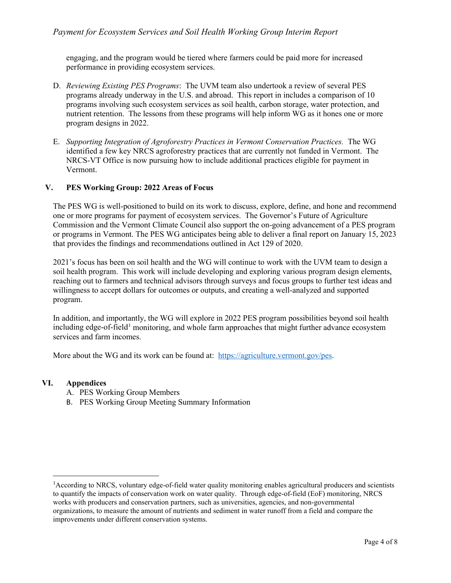engaging, and the program would be tiered where farmers could be paid more for increased performance in providing ecosystem services.

- D. *Reviewing Existing PES Programs*: The UVM team also undertook a review of several PES programs already underway in the U.S. and abroad. This report in includes a comparison of 10 programs involving such ecosystem services as soil health, carbon storage, water protection, and nutrient retention. The lessons from these programs will help inform WG as it hones one or more program designs in 2022.
- E. *Supporting Integration of Agroforestry Practices in Vermont Conservation Practices.* The WG identified a few key NRCS agroforestry practices that are currently not funded in Vermont. The NRCS-VT Office is now pursuing how to include additional practices eligible for payment in Vermont.

#### <span id="page-5-0"></span>**V. PES Working Group: 2022 Areas of Focus**

The PES WG is well-positioned to build on its work to discuss, explore, define, and hone and recommend one or more programs for payment of ecosystem services. The Governor's Future of Agriculture Commission and the Vermont Climate Council also support the on-going advancement of a PES program or programs in Vermont. The PES WG anticipates being able to deliver a final report on January 15, 2023 that provides the findings and recommendations outlined in Act 129 of 2020.

2021's focus has been on soil health and the WG will continue to work with the UVM team to design a soil health program. This work will include developing and exploring various program design elements, reaching out to farmers and technical advisors through surveys and focus groups to further test ideas and willingness to accept dollars for outcomes or outputs, and creating a well-analyzed and supported program.

In addition, and importantly, the WG will explore in 2022 PES program possibilities beyond soil health including edge-of-field<sup>[1](#page-5-2)</sup> monitoring, and whole farm approaches that might further advance ecosystem services and farm incomes.

More about the WG and its work can be found at: [https://agriculture.vermont.gov/pes.](https://agriculture.vermont.gov/pes)

#### <span id="page-5-1"></span>**VI. Appendices**

- A. PES Working Group Members
- B. PES Working Group Meeting Summary Information

<span id="page-5-2"></span><sup>&</sup>lt;sup>1</sup>According to NRCS, voluntary edge-of-field water quality monitoring enables agricultural producers and scientists to quantify the impacts of conservation work on water quality. Through edge-of-field (EoF) monitoring, NRCS works with producers and conservation partners, such as universities, agencies, and non-governmental organizations, to measure the amount of nutrients and sediment in water runoff from a field and compare the improvements under different conservation systems.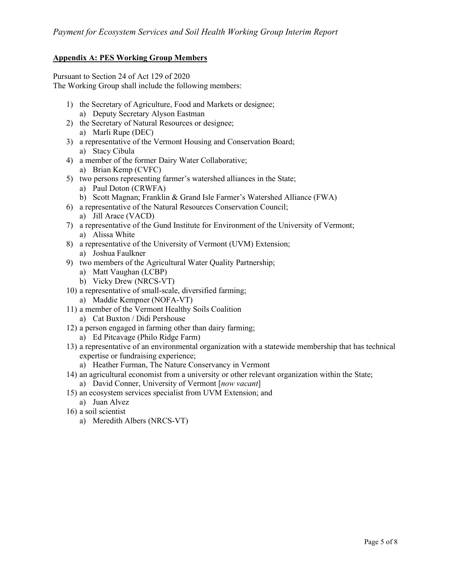#### <span id="page-6-0"></span>**Appendix A: PES Working Group Members**

Pursuant to Section 24 of Act 129 of 2020 The Working Group shall include the following members:

- 1) the Secretary of Agriculture, Food and Markets or designee;
	- a) Deputy Secretary Alyson Eastman
- 2) the Secretary of Natural Resources or designee; a) Marli Rupe (DEC)
- 3) a representative of the Vermont Housing and Conservation Board; a) Stacy Cibula
- 4) a member of the former Dairy Water Collaborative;
	- a) Brian Kemp (CVFC)
- 5) two persons representing farmer's watershed alliances in the State;
	- a) Paul Doton (CRWFA)
	- b) Scott Magnan; Franklin & Grand Isle Farmer's Watershed Alliance (FWA)
- 6) a representative of the Natural Resources Conservation Council; a) Jill Arace (VACD)
- 7) a representative of the Gund Institute for Environment of the University of Vermont; a) Alissa White
- 8) a representative of the University of Vermont (UVM) Extension;
	- a) Joshua Faulkner
- 9) two members of the Agricultural Water Quality Partnership;
	- a) Matt Vaughan (LCBP)
	- b) Vicky Drew (NRCS-VT)
- 10) a representative of small-scale, diversified farming; a) Maddie Kempner (NOFA-VT)
- 11) a member of the Vermont Healthy Soils Coalition
	- a) Cat Buxton / Didi Pershouse
- 12) a person engaged in farming other than dairy farming; a) Ed Pitcavage (Philo Ridge Farm)
- 13) a representative of an environmental organization with a statewide membership that has technical expertise or fundraising experience;
	- a) Heather Furman, The Nature Conservancy in Vermont
- 14) an agricultural economist from a university or other relevant organization within the State;
	- a) David Conner, University of Vermont [*now vacant*]
- 15) an ecosystem services specialist from UVM Extension; and
	- a) Juan Alvez
- 16) a soil scientist
	- a) Meredith Albers (NRCS-VT)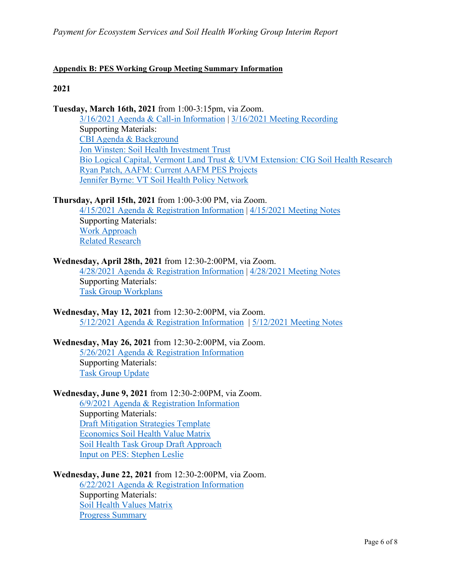## <span id="page-7-0"></span>**Appendix B: PES Working Group Meeting Summary Information**

## **2021**

**Tuesday, March 16th, 2021** from 1:00-3:15pm, via Zoom.

[3/16/2021 Agenda & Call-in Information](https://agriculture.vermont.gov/web/20210521073242/http:/agriculture.vermont.gov/sites/agriculture/files/documents/Water_Quality/PES/PES_2021.03.16.pdf) | [3/16/2021 Meeting Recording](https://web.archive.org/web/20210521073242/https:/cbuilding.zoom.us/rec/share/rNCVnfh-AANDxFTLFEbuv8Ih8Tn38zavduAVO9o_zffnxGZRPvopjWnAuy53J3vQ.FBiUPYOGZzPD3wDL) Supporting Materials: [CBI Agenda & Background](https://agriculture.vermont.gov/web/20210521073242/http:/agriculture.vermont.gov/sites/agriculture/files/documents/Water_Quality/PES/CBI_Background.pdf) [Jon Winsten: Soil Health Investment Trust](https://agriculture.vermont.gov/web/20210521073242/http:/agriculture.vermont.gov/sites/agriculture/files/documents/Water_Quality/PES/Winsten_Soil_Health_Investment_Trust.pdf) [Bio Logical Capital, Vermont Land Trust & UVM Extension: CIG Soil Health Research](https://agriculture.vermont.gov/web/20210521073242/http:/agriculture.vermont.gov/sites/agriculture/files/documents/Water_Quality/PES/VLT_CIG_Project.pdf) [Ryan Patch, AAFM: Current AAFM PES Projects](https://agriculture.vermont.gov/web/20210521073242/http:/agriculture.vermont.gov/sites/agriculture/files/documents/Water_Quality/PES/AAFM-PES-WG-Update-March-2021.pdf) [Jennifer Byrne: VT Soil Health Policy Network](https://agriculture.vermont.gov/web/20210521073242/http:/agriculture.vermont.gov/sites/agriculture/files/documents/Water_Quality/PES/VT_Soil_Health_Policy_Network.pdf)

## **Thursday, April 15th, 2021** from 1:00-3:00 PM, via Zoom.

[4/15/2021 Agenda & Registration Information](https://agriculture.vermont.gov/web/20210521073242/http:/agriculture.vermont.gov/sites/agriculture/files/documents/Water_Quality/PES/20210415%20VT%20PES%20SH%20WG%20agenda_participant.pdf) | [4/15/2021 Meeting Notes](https://agriculture.vermont.gov/web/20210521073242/http:/agriculture.vermont.gov/sites/agriculture/files/documents/Water_Quality/PES/20210415%20VT%20PES%20SH%20WG_draft%20summary.docx) Supporting Materials: [Work Approach](https://agriculture.vermont.gov/web/20210521073242/http:/agriculture.vermont.gov/sites/agriculture/files/documents/Water_Quality/PES/PES%20WG%202021%20Work%20Approach.pdf) [Related Research](https://agriculture.vermont.gov/web/20210521073242/http:/agriculture.vermont.gov/sites/agriculture/files/documents/Water_Quality/PES/VTPESRelatedResearch.pdf)

## **Wednesday, April 28th, 2021** from 12:30-2:00PM, via Zoom.

[4/28/2021 Agenda & Registration Information](https://web.archive.org/web/20210504232852/https:/agriculture.vermont.gov/sites/agriculture/files/documents/Water_Quality/PES/2021.04.28_PES.WG_Agenda.pdf) | [4/28/2021 Meeting Notes](https://agriculture.vermont.gov/sites/agriculture/files/documents/Water_Quality/PES/20210428VT%20PES%20SH%20WG_draft%20summary.docx) Supporting Materials: [Task Group Workplans](https://web.archive.org/web/20210504232852/https:/agriculture.vermont.gov/sites/agriculture/files/documents/Water_Quality/PES/Task_Workplans.docx)

**Wednesday, May 12, 2021** from 12:30-2:00PM, via Zoom. [5/12/2021 Agenda & Registration Information](https://agriculture.vermont.gov/sites/agriculture/files/documents/Water_Quality/PES/20210512%20VT%20PES%20and%20SH%20WG%20agenda.pdf) | [5/12/2021 Meeting Notes](https://agriculture.vermont.gov/sites/agriculture/files/documents/Water_Quality/PES/20210512%20VT%20PES%20and%20SH%20WG_draft%20summary.docx)

#### **Wednesday, May 26, 2021** from 12:30-2:00PM, via Zoom.

[5/26/2021 Agenda & Registration Information](https://agriculture.vermont.gov/sites/agriculture/files/documents/Water_Quality/PES/20210526%20VT%20PES%20and%20SH%20WG%20agenda.docx) Supporting Materials: [Task Group Update](https://agriculture.vermont.gov/sites/agriculture/files/documents/Water_Quality/PES/20210528%20PES%20and%20SH%20task%20groups%20update.docx)

#### **Wednesday, June 9, 2021** from 12:30-2:00PM, via Zoom.

[6/9/2021 Agenda & Registration Information](https://agriculture.vermont.gov/sites/agriculture/files/documents/Water_Quality/PES/20210609%20VT%20PES%20and%20SH%20WG%20agenda.docx) Supporting Materials: [Draft Mitigation Strategies Template](https://agriculture.vermont.gov/sites/agriculture/files/documents/Water_Quality/PES/Copy%20of%20Draft%20Mitigation%20Strategies%20Template%20-%20Sorted%20Simplified%20Buckets%20-%20052621.xlsx) [Economics Soil Health Value Matrix](https://agriculture.vermont.gov/sites/agriculture/files/documents/Water_Quality/PES/Economics%20Soil%20Health%20Value%20matrix_60721%20draft.pdf) [Soil Health Task Group Draft Approach](https://agriculture.vermont.gov/sites/agriculture/files/documents/Water_Quality/PES/To%20share%20with%20WG%20-%20Soil%20Health%20Task%20group.pdf) [Input on PES: Stephen Leslie](https://agriculture.vermont.gov/sites/agriculture/files/documents/Water_Quality/PES/Stephen%20Leslie%20INPUT%20ON%20PES.docx)

**Wednesday, June 22, 2021** from 12:30-2:00PM, via Zoom.

[6/22/2021 Agenda & Registration Information](https://agriculture.vermont.gov/sites/agriculture/files/documents/Water_Quality/PES/20210623%20VT%20PES%20and%20SH%20WG%20agenda.pdf) Supporting Materials: [Soil Health Values Matrix](https://agriculture.vermont.gov/sites/agriculture/files/documents/Water_Quality/PES/Soil%20Health%20Values%20Matrix_SH%20TG%20selected%20metrics.pdf) [Progress Summary](https://agriculture.vermont.gov/sites/agriculture/files/documents/Water_Quality/PES/VTPESPrgsSummary6-21-21.pdf)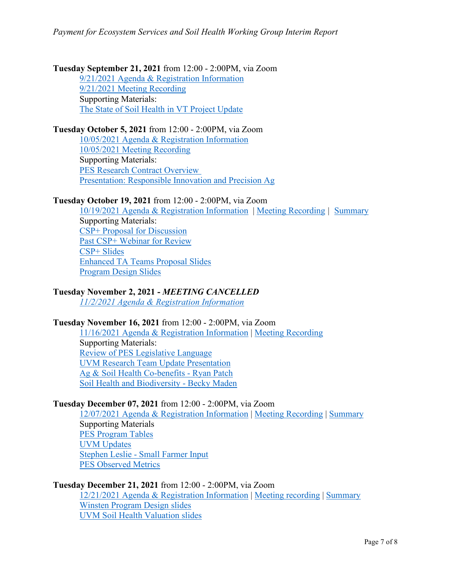# **Tuesday September 21, 2021** from 12:00 - 2:00PM, via Zoom

[9/21/2021 Agenda & Registration Information](https://agriculture.vermont.gov/sites/agriculture/files/documents/Water_Quality/PES/20210921%20PES%20and%20SH%20Working%20Group%20agenda_participant_v2.pdf) [9/21/2021 Meeting Recording](https://cbuilding.zoom.us/rec/play/qYcI7WmSLxSP8BLXR518c00vqbX-uZ7kJz9JGPsdCJQpzv3YXclud0mKGGSQoJJjcQqEtWx8RItAM0v6.AYGiUurWbc7xaiBx?autoplay=true) Supporting Materials: [The State of Soil Health in VT Project Update](https://agriculture.vermont.gov/sites/agriculture/files/documents/Water_Quality/PES/State%20of%20Soil%20Health%20project%20update%20for%20PES%20WG.pdf)

## **Tuesday October 5, 2021** from 12:00 - 2:00PM, via Zoom

[10/05](https://agriculture.vermont.gov/sites/agriculture/files/documents/Water_Quality/PES/20211005%20PES%20and%20SH%20Working%20Group%20agenda_participant.pdf)[/2021 Agenda & Registration Information](https://agriculture.vermont.gov/sites/agriculture/files/documents/Water_Quality/PES/20210921%20PES%20and%20SH%20Working%20Group%20agenda_participant_v2.pdf) [10/05/2021 Meeting Recording](https://cbuilding.zoom.us/rec/play/iRcWis7gy-aabpaFsnDx89uusgbhL9Q7VtucEQAD-KXfMawlaQnxNBZAcehY9YzXRcE8RlWLU6CE5XC5.kyO_EVBMrNcULCZ8?autoplay=true) Supporting Materials: [PES Research Contract Overview](https://agriculture.vermont.gov/sites/agriculture/files/documents/Water_Quality/PES/PES%20research%20contract%20overview%2010.5.21.pdf) [Presentation: Responsible Innovation and](https://agriculture.vermont.gov/sites/agriculture/files/documents/Water_Quality/PES/PES_Presentation%20to%20Commission%2020211005.pdf) Precision Ag

## **Tuesday October 19, 2021** from 12:00 - 2:00PM, via Zoom

[10/19/2021 Agenda & Registration Information](https://agriculture.vermont.gov/sites/agriculture/files/documents/Water_Quality/PES/20211019%20PES%20and%20SH%20Working%20Group%20agenda_participant.pdf) | [Meeting Recording](https://cbuilding.zoom.us/rec/share/Frky7CZxrguk-JPzNQDnNwuMMNnaRuE3SL1soCurn_ivy_Uk04n8Nvp72WzBrvTy.zWMXQeutO2A57CeZ) *|* [Summary](https://agriculture.vermont.gov/sites/agriculture/files/documents/Water_Quality/PES/20211019%20VT%20PES%20and%20Soil%20Health%20WG_draft%20summary.docx) Supporting Materials: [CSP+ Proposal for Discussion](https://agriculture.vermont.gov/sites/agriculture/files/documents/Water_Quality/PES/CSP%2B%20shared%20outline%206%2022%202021.docx.pdf) [Past CSP+ Webinar for Review](https://cbuilding.zoom.us/rec/play/6fD2DZ4kvEkQXiYLQroIHtNUr67lD9TVf2pSFQzPHMiX6wTrT3gzRAx1HXyGffo8fcyQe1BcdkPKrQ2q.yaD40rNnuJnqURPK?continueMode=true) [CSP+ Slides](https://agriculture.vermont.gov/sites/agriculture/files/documents/Water_Quality/PES/CSP_plusPresentation.10.14.21.pptx) [Enhanced TA Teams Proposal Slides](https://agriculture.vermont.gov/sites/agriculture/files/documents/Water_Quality/PES/PESWorkingGroup10.19.21%20.pptx) [Program Design Slides](https://agriculture.vermont.gov/sites/agriculture/files/documents/Water_Quality/PES/ProgramDesignPES-WG2021-10-19.pptx)

# **Tuesday November 2, 2021 -** *MEETING CANCELLED*

*[11/2/2021 Agenda & Registration Information](https://agriculture.vermont.gov/sites/agriculture/files/documents/Water_Quality/PES/20211102%20PES%20and%20SH%20Working%20Group%20agenda_participant.pdf)* 

## **Tuesday November 16, 2021** from 12:00 - 2:00PM, via Zoom

[11/16/2021 Agenda & Registration Information](https://agriculture.vermont.gov/sites/agriculture/files/documents/Water_Quality/PES/20211116%20PES%20and%20SH%20Working%20Group%20agenda_participant.pdf) | [Meeting Recording](https://youtu.be/ZM4phfEsiB0) Supporting Materials: [Review of PES Legislative Language](https://agriculture.vermont.gov/sites/agriculture/files/documents/Water_Quality/PES/Review-of-PES-Legislative-Language-11162021.pdf) [UVM Research Team Update Presentation](https://agriculture.vermont.gov/sites/agriculture/files/documents/Water_Quality/PES/11.16.21.%20Update%20to%20PES%20working%20group.pdf) [Ag & Soil Health Co-benefits -](https://agriculture.vermont.gov/sites/agriculture/files/documents/Water_Quality/PES/AAFM-PES-Cobenefits-11162021.pdf) Ryan Patch [Soil Health and Biodiversity -](https://agriculture.vermont.gov/sites/agriculture/files/documents/Water_Quality/PES/Biodiversity%20Soil%20Health%2011.11.21.pdf) Becky Maden

## **Tuesday December 07, 2021** from 12:00 - 2:00PM, via Zoom

[12/07/2021 Agenda & Registration Information](https://agriculture.vermont.gov/sites/agriculture/files/documents/Water_Quality/PES/20211207%20PES%20and%20SH%20Working%20Group%20agenda_participant.docx) | [Meeting Recording](https://cbuilding.zoom.us/rec/share/b2pb9MSBK3d-cN_lEuloEy3a96kpLgjZWQS4xeuCck8XOnUKujNHce1ot-Ut_-U-.9n6Ci0nePgTKmEEW) | [Summary](https://agriculture.vermont.gov/sites/agriculture/files/documents/Water_Quality/PES/20211207%20PES%20and%20SH%20Working%20Group_draft%20summary.docx) Supporting Materials [PES Program Tables](https://agriculture.vermont.gov/sites/agriculture/files/documents/Water_Quality/PES/PES%20Program%20Tables.pdf) [UVM Updates](https://agriculture.vermont.gov/sites/agriculture/files/documents/Water_Quality/PES/12.7%20UVM%20Update%20to%20PES%20working%20group.pdf) Stephen Leslie - [Small Farmer Input](https://agriculture.vermont.gov/sites/agriculture/files/documents/Water_Quality/PES/Stephen%20Leslie%20Small%20Farmer%20Input.pptx) [PES Observed Metrics](https://agriculture.vermont.gov/sites/agriculture/files/documents/Water_Quality/PES/VT%20PES%20Observed%20Metrics%2012%207%2021.pptx)

#### **Tuesday December 21, 2021** from 12:00 - 2:00PM, via Zoom

[12/21/2021 Agenda & Registration Information](https://agriculture.vermont.gov/sites/agriculture/files/documents/Water_Quality/PES/2021-12-21%20PES%20and%20SH%20Working%20Group%20agenda_participant.pdf) | [Meeting recording](https://cbuilding.zoom.us/rec/share/oxT9onUGhWD7jDwDnvsTJ-OHXf9wsgLpDIgqe6_pqTUifKgwy3s9lG-m5xEvWP5F.DpoJ18jdt8mICaGE) | [Summary](https://agriculture.vermont.gov/sites/agriculture/files/documents/Water_Quality/PES/20211221%20PES%20and%20SH%20Working%20Group_draft%20summary.docx) [Winsten Program Design slides](https://agriculture.vermont.gov/sites/agriculture/files/documents/Water_Quality/PES/Winsten_Program_Design_12.21.2021.pdf) [UVM Soil Health Valuation slides](https://agriculture.vermont.gov/sites/agriculture/files/documents/Water_Quality/PES/Task_5_presentation.pdf)